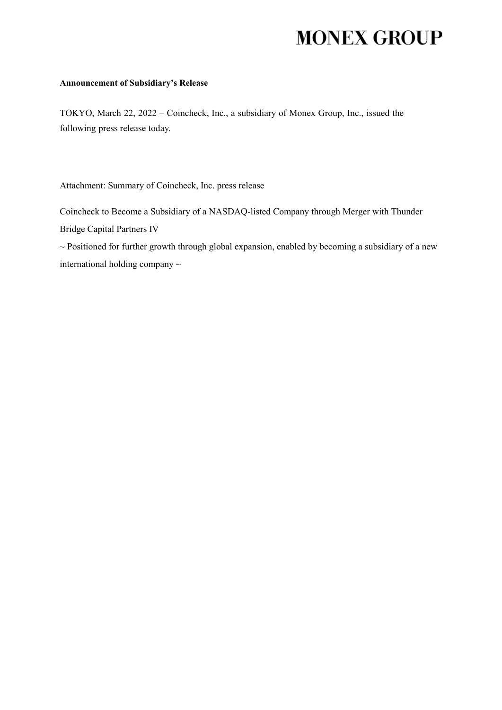# **MONEX GROUP**

#### **Announcement of Subsidiary's Release**

TOKYO, March 22, 2022 – Coincheck, Inc., a subsidiary of Monex Group, Inc., issued the following press release today.

Attachment: Summary of Coincheck, Inc. press release

Coincheck to Become a Subsidiary of a NASDAQ-listed Company through Merger with Thunder Bridge Capital Partners IV

 $\sim$  Positioned for further growth through global expansion, enabled by becoming a subsidiary of a new international holding company ~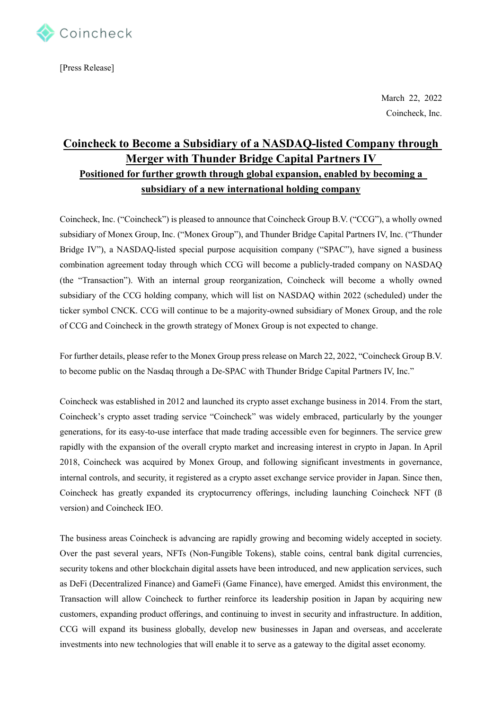

[Press Release]

March 22, 2022 Coincheck, Inc.

# **Coincheck to Become a Subsidiary of a NASDAQ-listed Company through Merger with Thunder Bridge Capital Partners IV Positioned for further growth through global expansion, enabled by becoming a subsidiary of a new international holding company**

Coincheck, Inc. ("Coincheck") is pleased to announce that Coincheck Group B.V. ("CCG"), a wholly owned subsidiary of Monex Group, Inc. ("Monex Group"), and Thunder Bridge Capital Partners IV, Inc. ("Thunder Bridge IV"), a NASDAQ-listed special purpose acquisition company ("SPAC"), have signed a business combination agreement today through which CCG will become a publicly-traded company on NASDAQ (the "Transaction"). With an internal group reorganization, Coincheck will become a wholly owned subsidiary of the CCG holding company, which will list on NASDAQ within 2022 (scheduled) under the ticker symbol CNCK. CCG will continue to be a majority-owned subsidiary of Monex Group, and the role of CCG and Coincheck in the growth strategy of Monex Group is not expected to change.

For further details, please refer to the Monex Group press release on March 22, 2022, "Coincheck Group B.V. to become public on the Nasdaq through a De-SPAC with Thunder Bridge Capital Partners IV, Inc."

Coincheck was established in 2012 and launched its crypto asset exchange business in 2014. From the start, Coincheck's crypto asset trading service "Coincheck" was widely embraced, particularly by the younger generations, for its easy-to-use interface that made trading accessible even for beginners. The service grew rapidly with the expansion of the overall crypto market and increasing interest in crypto in Japan. In April 2018, Coincheck was acquired by Monex Group, and following significant investments in governance, internal controls, and security, it registered as a crypto asset exchange service provider in Japan. Since then, Coincheck has greatly expanded its cryptocurrency offerings, including launching Coincheck NFT (ß version) and Coincheck IEO.

The business areas Coincheck is advancing are rapidly growing and becoming widely accepted in society. Over the past several years, NFTs (Non-Fungible Tokens), stable coins, central bank digital currencies, security tokens and other blockchain digital assets have been introduced, and new application services, such as DeFi (Decentralized Finance) and GameFi (Game Finance), have emerged. Amidst this environment, the Transaction will allow Coincheck to further reinforce its leadership position in Japan by acquiring new customers, expanding product offerings, and continuing to invest in security and infrastructure. In addition, CCG will expand its business globally, develop new businesses in Japan and overseas, and accelerate investments into new technologies that will enable it to serve as a gateway to the digital asset economy.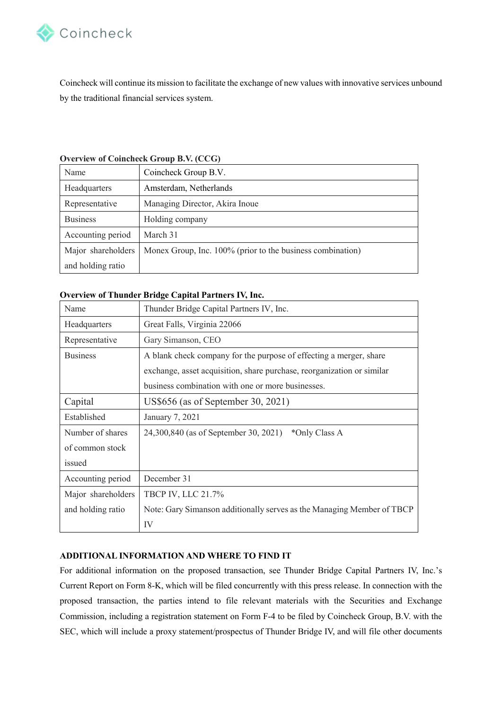

Coincheck will continue its mission to facilitate the exchange of new values with innovative services unbound by the traditional financial services system.

| Name               | Coincheck Group B.V.                                       |
|--------------------|------------------------------------------------------------|
| Headquarters       | Amsterdam, Netherlands                                     |
| Representative     | Managing Director, Akira Inoue                             |
| <b>Business</b>    | Holding company                                            |
| Accounting period  | March 31                                                   |
| Major shareholders | Monex Group, Inc. 100% (prior to the business combination) |
| and holding ratio  |                                                            |

#### **Overview of Coincheck Group B.V. (CCG)**

## **Overview of Thunder Bridge Capital Partners IV, Inc.**

| Name               | Thunder Bridge Capital Partners IV, Inc.                               |
|--------------------|------------------------------------------------------------------------|
| Headquarters       | Great Falls, Virginia 22066                                            |
| Representative     | Gary Simanson, CEO                                                     |
| <b>Business</b>    | A blank check company for the purpose of effecting a merger, share     |
|                    | exchange, asset acquisition, share purchase, reorganization or similar |
|                    | business combination with one or more businesses.                      |
| Capital            | US\$656 (as of September 30, 2021)                                     |
| Established        | January 7, 2021                                                        |
| Number of shares   | 24,300,840 (as of September 30, 2021)<br>*Only Class A                 |
| of common stock    |                                                                        |
| issued             |                                                                        |
| Accounting period  | December 31                                                            |
| Major shareholders | <b>TBCP IV, LLC 21.7%</b>                                              |
| and holding ratio  | Note: Gary Simanson additionally serves as the Managing Member of TBCP |
|                    | IV                                                                     |

### **ADDITIONAL INFORMATION AND WHERE TO FIND IT**

For additional information on the proposed transaction, see Thunder Bridge Capital Partners IV, Inc.'s Current Report on Form 8-K, which will be filed concurrently with this press release. In connection with the proposed transaction, the parties intend to file relevant materials with the Securities and Exchange Commission, including a registration statement on Form F-4 to be filed by Coincheck Group, B.V. with the SEC, which will include a proxy statement/prospectus of Thunder Bridge IV, and will file other documents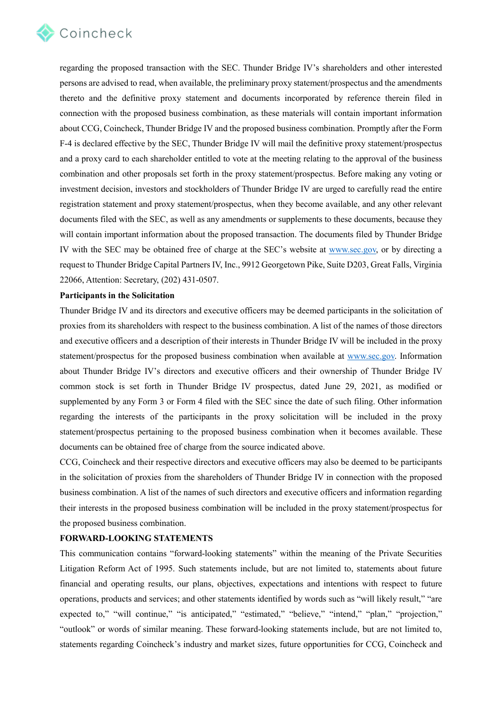

regarding the proposed transaction with the SEC. Thunder Bridge IV's shareholders and other interested persons are advised to read, when available, the preliminary proxy statement/prospectus and the amendments thereto and the definitive proxy statement and documents incorporated by reference therein filed in connection with the proposed business combination, as these materials will contain important information about CCG, Coincheck, Thunder Bridge IV and the proposed business combination. Promptly after the Form F-4 is declared effective by the SEC, Thunder Bridge IV will mail the definitive proxy statement/prospectus and a proxy card to each shareholder entitled to vote at the meeting relating to the approval of the business combination and other proposals set forth in the proxy statement/prospectus. Before making any voting or investment decision, investors and stockholders of Thunder Bridge IV are urged to carefully read the entire registration statement and proxy statement/prospectus, when they become available, and any other relevant documents filed with the SEC, as well as any amendments or supplements to these documents, because they will contain important information about the proposed transaction. The documents filed by Thunder Bridge IV with the SEC may be obtained free of charge at the SEC's website at [www.sec.gov,](https://urldefense.proofpoint.com/v2/url?u=http-3A__www.sec.gov&d=DwMFaQ&c=qmi9WrYRGQEDDOxOwKrAjW7mWovpzN_EKyRbeK_zbP0&r=NVpI0aQZdRyLpgRP_oy-q6GcTF9fDisUibU8yf9JY88&m=O0uhsO9ufbHpcz0pnVuCW_lRqGPxpH0DtbOG2HF7HkjHhPB-9SypA5x1Lz2fO0vt&s=kZQRk0UPBukvyc8WJw1WDF-EChu5GzaysAj2_IIXKPM&e=) or by directing a request to Thunder Bridge Capital Partners IV, Inc., 9912 Georgetown Pike, Suite D203, Great Falls, Virginia 22066, Attention: Secretary, (202) 431-0507.

#### **Participants in the Solicitation**

Thunder Bridge IV and its directors and executive officers may be deemed participants in the solicitation of proxies from its shareholders with respect to the business combination. A list of the names of those directors and executive officers and a description of their interests in Thunder Bridge IV will be included in the proxy statement/prospectus for the proposed business combination when available at [www.sec.gov.](https://urldefense.proofpoint.com/v2/url?u=http-3A__www.sec.gov&d=DwMFaQ&c=qmi9WrYRGQEDDOxOwKrAjW7mWovpzN_EKyRbeK_zbP0&r=NVpI0aQZdRyLpgRP_oy-q6GcTF9fDisUibU8yf9JY88&m=O0uhsO9ufbHpcz0pnVuCW_lRqGPxpH0DtbOG2HF7HkjHhPB-9SypA5x1Lz2fO0vt&s=kZQRk0UPBukvyc8WJw1WDF-EChu5GzaysAj2_IIXKPM&e=) Information about Thunder Bridge IV's directors and executive officers and their ownership of Thunder Bridge IV common stock is set forth in Thunder Bridge IV prospectus, dated June 29, 2021, as modified or supplemented by any Form 3 or Form 4 filed with the SEC since the date of such filing. Other information regarding the interests of the participants in the proxy solicitation will be included in the proxy statement/prospectus pertaining to the proposed business combination when it becomes available. These documents can be obtained free of charge from the source indicated above.

CCG, Coincheck and their respective directors and executive officers may also be deemed to be participants in the solicitation of proxies from the shareholders of Thunder Bridge IV in connection with the proposed business combination. A list of the names of such directors and executive officers and information regarding their interests in the proposed business combination will be included in the proxy statement/prospectus for the proposed business combination.

#### **FORWARD-LOOKING STATEMENTS**

This communication contains "forward-looking statements" within the meaning of the Private Securities Litigation Reform Act of 1995. Such statements include, but are not limited to, statements about future financial and operating results, our plans, objectives, expectations and intentions with respect to future operations, products and services; and other statements identified by words such as "will likely result," "are expected to," "will continue," "is anticipated," "estimated," "believe," "intend," "plan," "projection," "outlook" or words of similar meaning. These forward-looking statements include, but are not limited to, statements regarding Coincheck's industry and market sizes, future opportunities for CCG, Coincheck and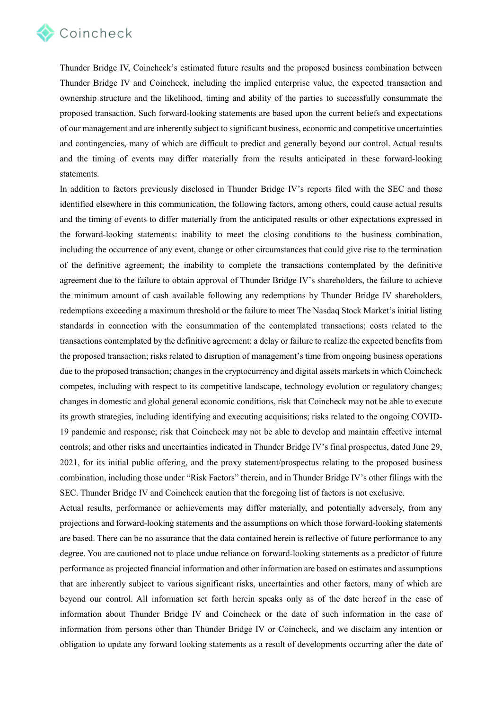

Thunder Bridge IV, Coincheck's estimated future results and the proposed business combination between Thunder Bridge IV and Coincheck, including the implied enterprise value, the expected transaction and ownership structure and the likelihood, timing and ability of the parties to successfully consummate the proposed transaction. Such forward-looking statements are based upon the current beliefs and expectations of our management and are inherently subject to significant business, economic and competitive uncertainties and contingencies, many of which are difficult to predict and generally beyond our control. Actual results and the timing of events may differ materially from the results anticipated in these forward-looking statements.

In addition to factors previously disclosed in Thunder Bridge IV's reports filed with the SEC and those identified elsewhere in this communication, the following factors, among others, could cause actual results and the timing of events to differ materially from the anticipated results or other expectations expressed in the forward-looking statements: inability to meet the closing conditions to the business combination, including the occurrence of any event, change or other circumstances that could give rise to the termination of the definitive agreement; the inability to complete the transactions contemplated by the definitive agreement due to the failure to obtain approval of Thunder Bridge IV's shareholders, the failure to achieve the minimum amount of cash available following any redemptions by Thunder Bridge IV shareholders, redemptions exceeding a maximum threshold or the failure to meet The Nasdaq Stock Market's initial listing standards in connection with the consummation of the contemplated transactions; costs related to the transactions contemplated by the definitive agreement; a delay or failure to realize the expected benefits from the proposed transaction; risks related to disruption of management's time from ongoing business operations due to the proposed transaction; changes in the cryptocurrency and digital assets markets in which Coincheck competes, including with respect to its competitive landscape, technology evolution or regulatory changes; changes in domestic and global general economic conditions, risk that Coincheck may not be able to execute its growth strategies, including identifying and executing acquisitions; risks related to the ongoing COVID-19 pandemic and response; risk that Coincheck may not be able to develop and maintain effective internal controls; and other risks and uncertainties indicated in Thunder Bridge IV's final prospectus, dated June 29, 2021, for its initial public offering, and the proxy statement/prospectus relating to the proposed business combination, including those under "Risk Factors" therein, and in Thunder Bridge IV's other filings with the SEC. Thunder Bridge IV and Coincheck caution that the foregoing list of factors is not exclusive.

Actual results, performance or achievements may differ materially, and potentially adversely, from any projections and forward-looking statements and the assumptions on which those forward-looking statements are based. There can be no assurance that the data contained herein is reflective of future performance to any degree. You are cautioned not to place undue reliance on forward-looking statements as a predictor of future performance as projected financial information and other information are based on estimates and assumptions that are inherently subject to various significant risks, uncertainties and other factors, many of which are beyond our control. All information set forth herein speaks only as of the date hereof in the case of information about Thunder Bridge IV and Coincheck or the date of such information in the case of information from persons other than Thunder Bridge IV or Coincheck, and we disclaim any intention or obligation to update any forward looking statements as a result of developments occurring after the date of